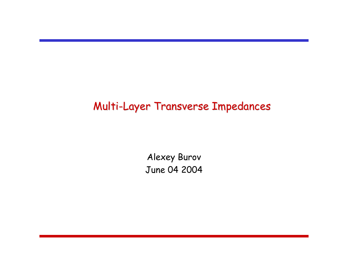# Multi-Layer Transverse Impedances

Alexey Burov June 04 2004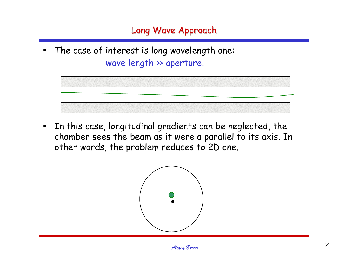$\blacksquare$  The case of interest is long wavelength one: wave length >> aperture.

 $\blacksquare$  In this case, longitudinal gradients can be neglected, the chamber sees the beam as it were a parallel to its axis. In other words, the problem reduces to 2D one.

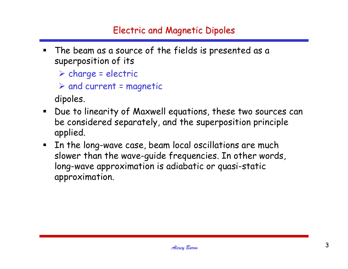- $\blacksquare$  The beam as a source of the fields is presented as a superposition of its
	- ¾ charge = electric

```
\triangleright and current = magnetic
```
dipoles.

- Due to linearity of Maxwell equations, these two sources can be considered separately, and the superposition principle applied.
- $\blacksquare$  In the long-wave case, beam local oscillations are much slower than the wave-guide frequencies. In other words, long-wave approximation is adiabatic or quasi-static approximation.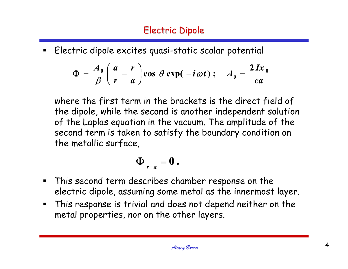# Electric Dipole

 $\blacksquare$ Electric dipole excites quasi-static scalar potential

$$
\Phi = \frac{A_0}{\beta} \left( \frac{a}{r} - \frac{r}{a} \right) \cos \theta \exp(-i\omega t) ; \quad A_0 = \frac{2 I x_0}{c a}
$$

where the first term in the brackets is the direct field of the dipole, while the second is another independent solution of the Laplas equation in the vacuum. The amplitude of the second term is taken to satisfy the boundary condition on the metallic surface,

$$
\Phi\big|_{r=a}=0\ .
$$

- $\blacksquare$  This second term describes chamber response on the electric dipole, assuming some metal as the innermost layer.
- This response is trivial and does not depend neither on the metal properties, nor on the other layers.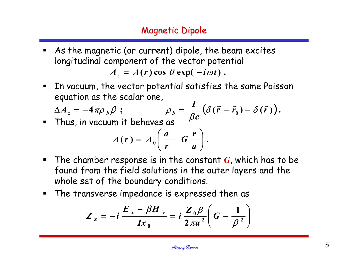- $\blacksquare$  As the magnetic (or current) dipole, the beam excites longitudinal component of the vector potential  $A_z = A(r) \cos \theta \exp(-i\omega t)$ .
- $\blacksquare$  In vacuum, the vector potential satisfies the same Poisson equation as the scalar one,

$$
\Delta A_z = -4\pi \rho_b \beta ; \qquad \rho_b = \frac{I}{\beta c} (\delta(\vec{r} - \vec{r}_0) - \delta(\vec{r})).
$$

Thus, in vacuum it behaves as

$$
A(r) = A_0 \left( \frac{a}{r} - G \frac{r}{a} \right).
$$

- The chamber response is in the constant *<sup>G</sup>*, which has to be found from the field solutions in the outer layers and the whole set of the boundary conditions.
- The transverse impedance is expressed then as

$$
Z_{x}=-i\,\frac{E_{x}-\beta H_{y}}{Ix_{0}}=i\,\frac{Z_{0}\beta}{2\pi a^{2}}\bigg(\,G-\frac{1}{\beta^{2}}\bigg)
$$

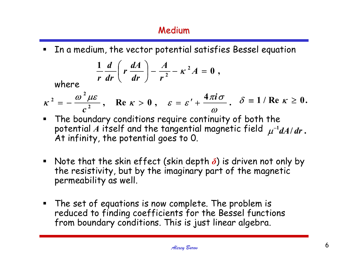## Medium

In a medium, the vector potential satisfies Bessel equation

$$
\frac{1}{r}\frac{d}{dr}\left(r\frac{dA}{dr}\right)-\frac{A}{r^2}-\kappa^2A=0,
$$

where

$$
\kappa^2=-\frac{\omega^2\mu\epsilon}{c^2}, \quad \text{Re } \kappa>0 \; , \quad \varepsilon=\varepsilon'+\frac{4\pi i\sigma}{\omega}. \quad \delta\equiv 1/\text{Re } \kappa\geq 0.
$$

- The boundary conditions require continuity of both the potential  $A$  itself and the tangential magnetic field  $\mu^{-1}dA/dr$  . At infinity, the potential goes to 0.
- Note that the skin effect (skin depth *δ*) is driven not only by the resistivity, but by the imaginary part of the magnetic permeability as well.
- $\blacksquare$  The set of equations is now complete. The problem is reduced to finding coefficients for the Bessel functions from boundary conditions. This is just linear algebra.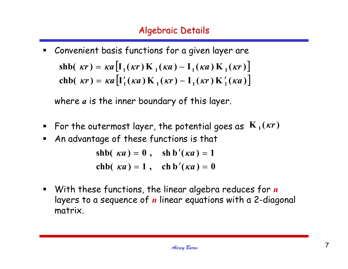$\blacksquare$  Convenient basis functions for a given layer are shb(  $\kappa r$ ) =  $\kappa a \left[I_1(\kappa r)K_1(\kappa a) - I_1(\kappa a)K_1(\kappa r)\right]$ chb(  $\kappa r$ ) =  $\kappa a$   $\left[I'_1(\kappa a)K_1(\kappa r) - I_1(\kappa r)K'_1(\kappa a)\right]$ ′<sup>1</sup> | ΚΩ | ΙΝ <sup>1</sup> | ΚΙ | − ′

where *<sup>a</sup>* is the inner boundary of this layer.

- $\blacksquare$  For the outermost layer, the potential goes as  $\mathbf{K}_{1}(\kappa r)$
- $\blacksquare$ An advantage of these functions is that

**chb**( $\kappa a$ ) = 1, **ch b**  $'(\kappa a) = 0$  $\mathbf{shb}(\kappa a) = 0$ ,  $\mathbf{shb}'(\kappa a) = 1$ ′ $ka$ ) = 1, cn b (*ka*) = ′ $ka$ ) = **v**, sn b (*ka*) =

 $\blacksquare$  With these functions, the linear algebra reduces for *<sup>n</sup>* layers to a sequence of *<sup>n</sup>* linear equations with a 2-diagonal matrix.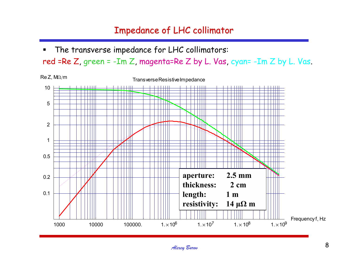## Impedance of LHC collimator

■ The transverse impedance for LHC collimators:

red =Re  $Z$ , green =  $-Im Z$ , magenta=Re  $Z$  by  $L$ . Vas, cyan=  $-Im Z$  by  $L$ . Vas.

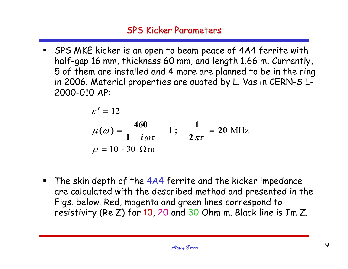SPS MKE kicker is an open to beam peace of 4A4 ferrite with half-gap 16 mm, thickness 60 mm, and length 1.66 m. Currently, 5 of them are installed and 4 more are planned to be in the ring in 2006. Material properties are quoted by L. Vas in CERN-S L-2000-010 AP:

$$
ε' = 12
$$
  
\n
$$
μ(ω) = \frac{460}{1 - iωτ} + 1; \quad \frac{1}{2πτ} = 20 \text{ MHz}
$$
  
\n
$$
ρ = 10 - 30 Ωm
$$

**The skin depth of the 4A4 ferrite and the kicker impedance** are calculated with the described method and presented in the Figs. below. Red, magenta and green lines correspond to resistivity (Re Z) for 10, 20 and 30 Ohm m. Black line is Im Z.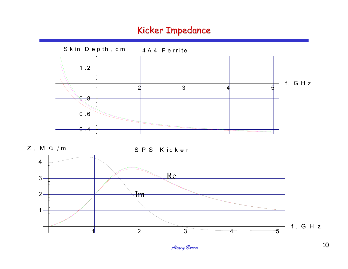#### Kicker Impedance

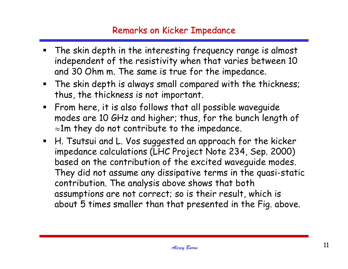### Remarks on Kicker Impedance

- The skin depth in the interesting frequency range is almost independent of the resistivity when that varies between 10 and 30 Ohm m. The same is true for the impedance.
- The skin depth is always small compared with the thickness; thus, the thickness is not important.
- $\textcolor{red}{\bullet}$  From here, it is also follows that all possible waveguide modes are 10 GHz and higher; thus, for the bunch length of  $\approx$ 1m they do not contribute to the impedance.
- H. Tsutsui and L. Vos suggested an approach for the kicker impedance calculations (LHC Project Note 234, Sep. 2000) based on the contribution of the excited waveguide modes. They did not assume any dissipative terms in the quasi-static contribution. The analysis above shows that both assumptions are not correct; so is their result, which is about 5 times smaller than that presented in the Fig. above.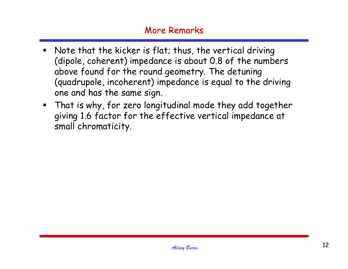#### **More Remarks**

- $\blacksquare$  Note that the kicker is flat; thus, the vertical driving (dipole, coherent) impedance is about 0.8 of the numbers above found for the round geometry. The detuning (quadrupole, incoherent) impedance is equal to the driving one and has the same sign.
- That is why, for zero longitudinal mode they add together giving 1.6 factor for the effective vertical impedance at small chromaticity.